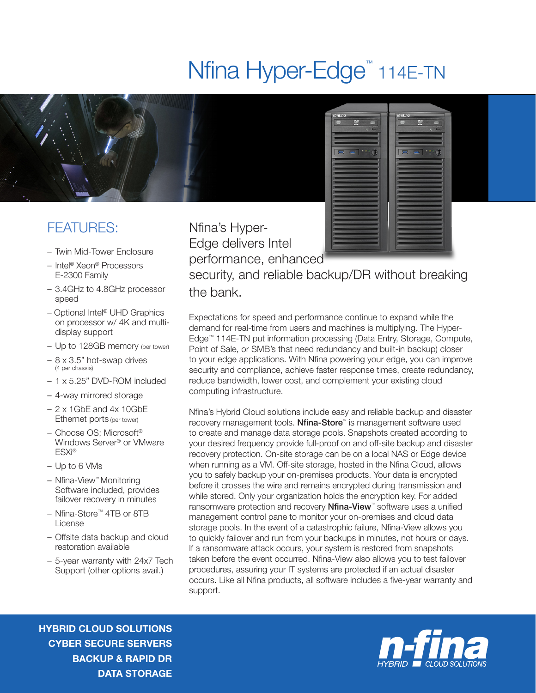## Nfina Hyper-Edge<sup>™</sup> 114E-TN



## FEATURES:

- Twin Mid-Tower Enclosure
- Intel® Xeon® Processors E-2300 Family
- 3.4GHz to 4.8GHz processor speed
- Optional Intel® UHD Graphics on processor w/ 4K and multidisplay support
- Up to 128GB memory (per tower)
- 8 x 3.5" hot-swap drives (4 per chassis)
- 1 x 5.25" DVD-ROM included
- 4-way mirrored storage
- $-2 \times 1$ GbE and  $4 \times 10$ GbE Ethernet ports (per tower)
- Choose OS; Microsoft® Windows Server® or VMware ESXi®
- Up to 6 VMs
- Nfina-View™ Monitoring Software included, provides failover recovery in minutes
- Nfina-Store™ 4TB or 8TB License
- Offsite data backup and cloud restoration available
- 5-year warranty with 24x7 Tech Support (other options avail.)

Nfina's Hyper-Edge delivers Intel performance, enhanced



security, and reliable backup/DR without breaking the bank.

Expectations for speed and performance continue to expand while the demand for real-time from users and machines is multiplying. The Hyper-Edge™ 114E-TN put information processing (Data Entry, Storage, Compute, Point of Sale, or SMB's that need redundancy and built-in backup) closer to your edge applications. With Nfina powering your edge, you can improve security and compliance, achieve faster response times, create redundancy, reduce bandwidth, lower cost, and complement your existing cloud computing infrastructure.

Nfina's Hybrid Cloud solutions include easy and reliable backup and disaster recovery management tools. Nfina-Store™ is management software used to create and manage data storage pools. Snapshots created according to your desired frequency provide full-proof on and off-site backup and disaster recovery protection. On-site storage can be on a local NAS or Edge device when running as a VM. Off-site storage, hosted in the Nfina Cloud, allows you to safely backup your on-premises products. Your data is encrypted before it crosses the wire and remains encrypted during transmission and while stored. Only your organization holds the encryption key. For added ransomware protection and recovery **Nfina-View**™ software uses a unified management control pane to monitor your on-premises and cloud data storage pools. In the event of a catastrophic failure, Nfina-View allows you to quickly failover and run from your backups in minutes, not hours or days. If a ransomware attack occurs, your system is restored from snapshots taken before the event occurred. Nfina-View also allows you to test failover procedures, assuring your IT systems are protected if an actual disaster occurs. Like all Nfina products, all software includes a five-year warranty and support.

HYBRID CLOUD SOLUTIONS CYBER SECURE SERVERS BACKUP & RAPID DR DATA STORAGE